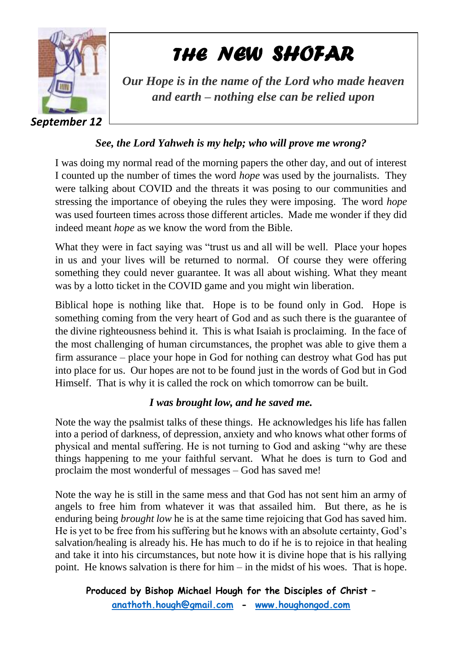

*THE NEW SHOFAR* 

*Our Hope is in the name of the Lord who made heaven and earth – nothing else can be relied upon*

## *See, the Lord Yahweh is my help; who will prove me wrong?*

I was doing my normal read of the morning papers the other day, and out of interest I counted up the number of times the word *hope* was used by the journalists. They were talking about COVID and the threats it was posing to our communities and stressing the importance of obeying the rules they were imposing. The word *hope*  was used fourteen times across those different articles. Made me wonder if they did indeed meant *hope* as we know the word from the Bible.

What they were in fact saying was "trust us and all will be well. Place your hopes in us and your lives will be returned to normal. Of course they were offering something they could never guarantee. It was all about wishing. What they meant was by a lotto ticket in the COVID game and you might win liberation.

Biblical hope is nothing like that. Hope is to be found only in God. Hope is something coming from the very heart of God and as such there is the guarantee of the divine righteousness behind it. This is what Isaiah is proclaiming. In the face of the most challenging of human circumstances, the prophet was able to give them a firm assurance – place your hope in God for nothing can destroy what God has put into place for us. Our hopes are not to be found just in the words of God but in God Himself. That is why it is called the rock on which tomorrow can be built.

## *I was brought low, and he saved me.*

Note the way the psalmist talks of these things. He acknowledges his life has fallen into a period of darkness, of depression, anxiety and who knows what other forms of physical and mental suffering. He is not turning to God and asking "why are these things happening to me your faithful servant. What he does is turn to God and proclaim the most wonderful of messages – God has saved me!

Note the way he is still in the same mess and that God has not sent him an army of angels to free him from whatever it was that assailed him. But there, as he is enduring being *brought low* he is at the same time rejoicing that God has saved him. He is yet to be free from his suffering but he knows with an absolute certainty, God's salvation/healing is already his. He has much to do if he is to rejoice in that healing and take it into his circumstances, but note how it is divine hope that is his rallying point. He knows salvation is there for him – in the midst of his woes. That is hope.

**Produced by Bishop Michael Hough for the Disciples of Christ – [anathoth.hough@gmail.com](mailto:anathoth.hough@gmail.com) - [www.houghongod.com](http://www.houghongod.com/)**